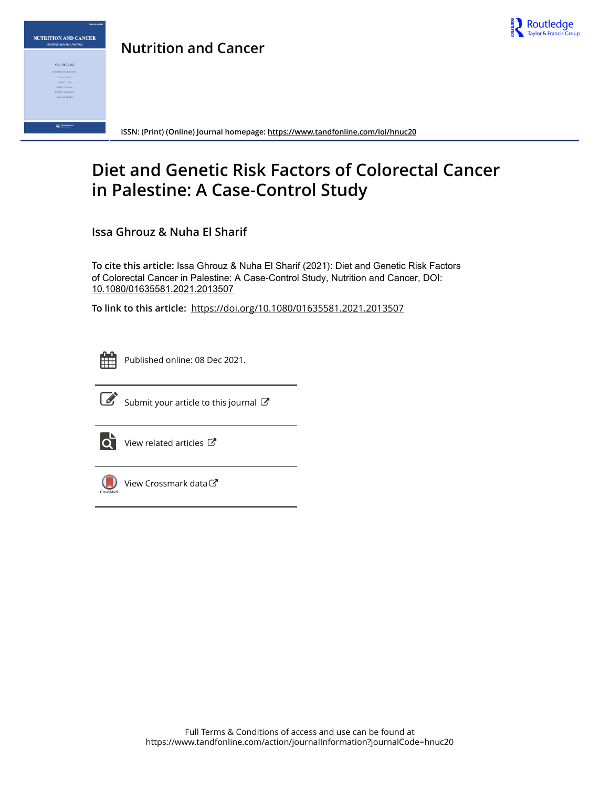

**Nutrition and Cancer**



**ISSN: (Print) (Online) Journal homepage:<https://www.tandfonline.com/loi/hnuc20>**

# **Diet and Genetic Risk Factors of Colorectal Cancer in Palestine: A Case-Control Study**

**Issa Ghrouz & Nuha El Sharif**

**To cite this article:** Issa Ghrouz & Nuha El Sharif (2021): Diet and Genetic Risk Factors of Colorectal Cancer in Palestine: A Case-Control Study, Nutrition and Cancer, DOI: [10.1080/01635581.2021.2013507](https://www.tandfonline.com/action/showCitFormats?doi=10.1080/01635581.2021.2013507)

**To link to this article:** <https://doi.org/10.1080/01635581.2021.2013507>



Published online: 08 Dec 2021.



 $\overrightarrow{S}$  [Submit your article to this journal](https://www.tandfonline.com/action/authorSubmission?journalCode=hnuc20&show=instructions)  $\overrightarrow{S}$ 



 $\overline{\mathbf{C}}$  [View related articles](https://www.tandfonline.com/doi/mlt/10.1080/01635581.2021.2013507)  $\mathbf{C}$ 



 $\bigcirc$  [View Crossmark data](http://crossmark.crossref.org/dialog/?doi=10.1080/01635581.2021.2013507&domain=pdf&date_stamp=2021-12-08) $\mathbb{Z}$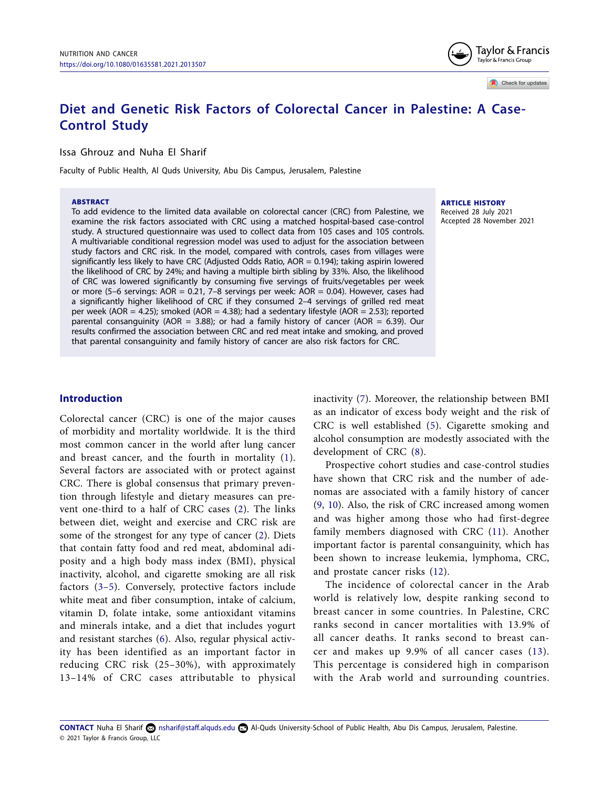# **Diet and Genetic Risk Factors of Colorectal Cancer in Palestine: A Case-Control Study**

Issa Ghrouz and Nuha El Sharif

Faculty of Public Health, Al Quds University, Abu Dis Campus, Jerusalem, Palestine

#### ABSTRACT

To add evidence to the limited data available on colorectal cancer (CRC) from Palestine, we examine the risk factors associated with CRC using a matched hospital-based case-control study. A structured questionnaire was used to collect data from 105 cases and 105 controls. A multivariable conditional regression model was used to adjust for the association between study factors and CRC risk. In the model, compared with controls, cases from villages were significantly less likely to have CRC (Adjusted Odds Ratio, AOR = 0.194); taking aspirin lowered the likelihood of CRC by 24%; and having a multiple birth sibling by 33%. Also, the likelihood of CRC was lowered significantly by consuming five servings of fruits/vegetables per week or more (5–6 servings: AOR = 0.21, 7–8 servings per week: AOR = 0.04). However, cases had a significantly higher likelihood of CRC if they consumed 2–4 servings of grilled red meat per week (AOR = 4.25); smoked (AOR = 4.38); had a sedentary lifestyle (AOR = 2.53); reported parental consanguinity (AOR = 3.88); or had a family history of cancer (AOR = 6.39). Our results confirmed the association between CRC and red meat intake and smoking, and proved that parental consanguinity and family history of cancer are also risk factors for CRC.

#### ARTICLE HISTORY Received 28 July 2021 Accepted 28 November 2021

**Introduction**

<span id="page-1-1"></span><span id="page-1-0"></span>Colorectal cancer (CRC) is one of the major causes of morbidity and mortality worldwide. It is the third most common cancer in the world after lung cancer and breast cancer, and the fourth in mortality ([1\)](#page-8-0). Several factors are associated with or protect against CRC. There is global consensus that primary prevention through lifestyle and dietary measures can prevent one-third to a half of CRC cases [\(2](#page-9-0)). The links between diet, weight and exercise and CRC risk are some of the strongest for any type of cancer [\(2](#page-9-0)). Diets that contain fatty food and red meat, abdominal adiposity and a high body mass index (BMI), physical inactivity, alcohol, and cigarette smoking are all risk factors ([3–5\)](#page-9-1). Conversely, protective factors include white meat and fiber consumption, intake of calcium, vitamin D, folate intake, some antioxidant vitamins and minerals intake, and a diet that includes yogurt and resistant starches ([6\)](#page-9-2). Also, regular physical activity has been identified as an important factor in reducing CRC risk (25–30%), with approximately 13–14% of CRC cases attributable to physical

<span id="page-1-4"></span>inactivity ([7\)](#page-9-3). Moreover, the relationship between BMI as an indicator of excess body weight and the risk of CRC is well established [\(5\)](#page-9-4). Cigarette smoking and alcohol consumption are modestly associated with the development of CRC ([8](#page-9-5)).

<span id="page-1-7"></span><span id="page-1-6"></span><span id="page-1-5"></span>Prospective cohort studies and case-control studies have shown that CRC risk and the number of adenomas are associated with a family history of cancer ([9,](#page-9-6) [10\)](#page-9-7). Also, the risk of CRC increased among women and was higher among those who had first-degree family members diagnosed with CRC [\(11\)](#page-9-8). Another important factor is parental consanguinity, which has been shown to increase leukemia, lymphoma, CRC, and prostate cancer risks [\(12\)](#page-9-9).

<span id="page-1-10"></span><span id="page-1-9"></span><span id="page-1-8"></span>The incidence of colorectal cancer in the Arab world is relatively low, despite ranking second to breast cancer in some countries. In Palestine, CRC ranks second in cancer mortalities with 13.9% of all cancer deaths. It ranks second to breast cancer and makes up 9.9% of all cancer cases ([13\)](#page-9-10). This percentage is considered high in comparison with the Arab world and surrounding countries.

<span id="page-1-3"></span><span id="page-1-2"></span><sup>© 2021</sup> Taylor & Francis Group, LLC **CONTACT** Nuha El Sharif **C**o[nsharif@staff.alquds.edu](mailto:nsharif@staff.alquds.edu) **Al-Quds University-School of Public Health**, Abu Dis Campus, Jerusalem, Palestine.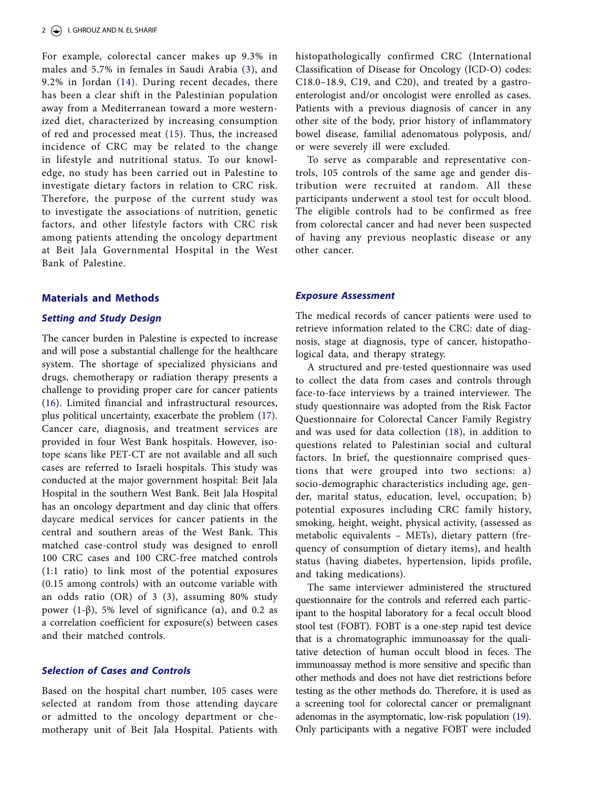<span id="page-2-1"></span><span id="page-2-0"></span>For example, colorectal cancer makes up 9.3% in males and 5.7% in females in Saudi Arabia ([3](#page-9-1)), and 9.2% in Jordan ([14\)](#page-9-11). During recent decades, there has been a clear shift in the Palestinian population away from a Mediterranean toward a more westernized diet, characterized by increasing consumption of red and processed meat ([15](#page-9-12)). Thus, the increased incidence of CRC may be related to the change in lifestyle and nutritional status. To our knowledge, no study has been carried out in Palestine to investigate dietary factors in relation to CRC risk. Therefore, the purpose of the current study was to investigate the associations of nutrition, genetic factors, and other lifestyle factors with CRC risk among patients attending the oncology department at Beit Jala Governmental Hospital in the West Bank of Palestine.

#### **Materials and Methods**

#### *Setting and Study Design*

<span id="page-2-3"></span><span id="page-2-2"></span>The cancer burden in Palestine is expected to increase and will pose a substantial challenge for the healthcare system. The shortage of specialized physicians and drugs, chemotherapy or radiation therapy presents a challenge to providing proper care for cancer patients ([16](#page-9-13)). Limited financial and infrastructural resources, plus political uncertainty, exacerbate the problem ([17\)](#page-9-14). Cancer care, diagnosis, and treatment services are provided in four West Bank hospitals. However, isotope scans like PET-CT are not available and all such cases are referred to Israeli hospitals. This study was conducted at the major government hospital: Beit Jala Hospital in the southern West Bank. Beit Jala Hospital has an oncology department and day clinic that offers daycare medical services for cancer patients in the central and southern areas of the West Bank. This matched case-control study was designed to enroll 100 CRC cases and 100 CRC-free matched controls (1:1 ratio) to link most of the potential exposures (0.15 among controls) with an outcome variable with an odds ratio (OR) of 3 (3), assuming 80% study power (1-β), 5% level of significance ( $α$ ), and 0.2 as a correlation coefficient for exposure(s) between cases and their matched controls.

# *Selection of Cases and Controls*

Based on the hospital chart number, 105 cases were selected at random from those attending daycare or admitted to the oncology department or chemotherapy unit of Beit Jala Hospital. Patients with histopathologically confirmed CRC (International Classification of Disease for Oncology (ICD-O) codes: C18.0–18.9, C19, and C20), and treated by a gastroenterologist and/or oncologist were enrolled as cases. Patients with a previous diagnosis of cancer in any other site of the body, prior history of inflammatory bowel disease, familial adenomatous polyposis, and/ or were severely ill were excluded.

To serve as comparable and representative controls, 105 controls of the same age and gender distribution were recruited at random. All these participants underwent a stool test for occult blood. The eligible controls had to be confirmed as free from colorectal cancer and had never been suspected of having any previous neoplastic disease or any other cancer.

#### *Exposure Assessment*

The medical records of cancer patients were used to retrieve information related to the CRC: date of diagnosis, stage at diagnosis, type of cancer, histopathological data, and therapy strategy.

<span id="page-2-4"></span>A structured and pre-tested questionnaire was used to collect the data from cases and controls through face-to-face interviews by a trained interviewer. The study questionnaire was adopted from the Risk Factor Questionnaire for Colorectal Cancer Family Registry and was used for data collection ([18](#page-9-15)), in addition to questions related to Palestinian social and cultural factors. In brief, the questionnaire comprised questions that were grouped into two sections: a) socio-demographic characteristics including age, gender, marital status, education, level, occupation; b) potential exposures including CRC family history, smoking, height, weight, physical activity, (assessed as metabolic equivalents – METs), dietary pattern (frequency of consumption of dietary items), and health status (having diabetes, hypertension, lipids profile, and taking medications).

<span id="page-2-5"></span>The same interviewer administered the structured questionnaire for the controls and referred each participant to the hospital laboratory for a fecal occult blood stool test (FOBT). FOBT is a one-step rapid test device that is a chromatographic immunoassay for the qualitative detection of human occult blood in feces. The immunoassay method is more sensitive and specific than other methods and does not have diet restrictions before testing as the other methods do. Therefore, it is used as a screening tool for colorectal cancer or premalignant adenomas in the asymptomatic, low-risk population [\(19](#page-9-16)). Only participants with a negative FOBT were included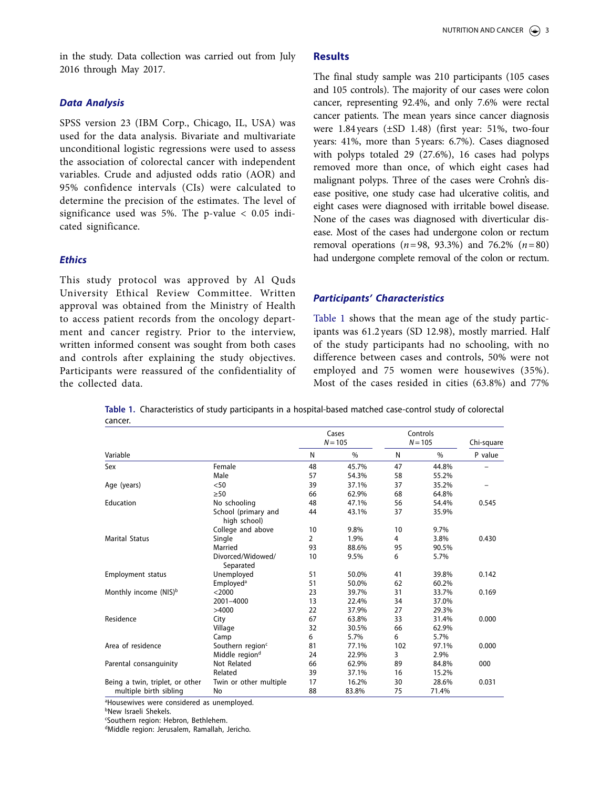in the study. Data collection was carried out from July 2016 through May 2017.

# *Data Analysis*

SPSS version 23 (IBM Corp., Chicago, IL, USA) was used for the data analysis. Bivariate and multivariate unconditional logistic regressions were used to assess the association of colorectal cancer with independent variables. Crude and adjusted odds ratio (AOR) and 95% confidence intervals (CIs) were calculated to determine the precision of the estimates. The level of significance used was 5%. The p-value < 0.05 indicated significance.

#### *Ethics*

This study protocol was approved by Al Quds University Ethical Review Committee. Written approval was obtained from the Ministry of Health to access patient records from the oncology department and cancer registry. Prior to the interview, written informed consent was sought from both cases and controls after explaining the study objectives. Participants were reassured of the confidentiality of the collected data.

#### **Results**

The final study sample was 210 participants (105 cases and 105 controls). The majority of our cases were colon cancer, representing 92.4%, and only 7.6% were rectal cancer patients. The mean years since cancer diagnosis were 1.84years (±SD 1.48) (first year: 51%, two-four years: 41%, more than 5years: 6.7%). Cases diagnosed with polyps totaled 29 (27.6%), 16 cases had polyps removed more than once, of which eight cases had malignant polyps. Three of the cases were Crohn's disease positive, one study case had ulcerative colitis, and eight cases were diagnosed with irritable bowel disease. None of the cases was diagnosed with diverticular disease. Most of the cases had undergone colon or rectum removal operations (*n*=98, 93.3%) and 76.2% (*n*=80) had undergone complete removal of the colon or rectum.

#### *Participants' Characteristics*

[Table 1](#page-3-0) shows that the mean age of the study participants was 61.2 years (SD 12.98), mostly married. Half of the study participants had no schooling, with no difference between cases and controls, 50% were not employed and 75 women were housewives (35%). Most of the cases resided in cities (63.8%) and 77%

<span id="page-3-0"></span>**Table 1.** Characteristics of study participants in a hospital-based matched case-control study of colorectal cancer.

|                                   |                                     | Cases<br>$N = 105$ |       | Controls<br>$N = 105$ |       | Chi-square |  |
|-----------------------------------|-------------------------------------|--------------------|-------|-----------------------|-------|------------|--|
| Variable                          |                                     | N                  | %     | N                     | %     | P value    |  |
| Sex                               | Female                              | 48                 | 45.7% | 47                    | 44.8% |            |  |
|                                   | Male                                | 57                 | 54.3% | 58                    | 55.2% |            |  |
| Age (years)                       | < 50                                | 39                 | 37.1% | 37                    | 35.2% |            |  |
|                                   | >50                                 | 66                 | 62.9% | 68                    | 64.8% |            |  |
| Education                         | No schooling                        | 48                 | 47.1% | 56                    | 54.4% | 0.545      |  |
|                                   | School (primary and<br>high school) | 44                 | 43.1% | 37                    | 35.9% |            |  |
|                                   | College and above                   | 10                 | 9.8%  | 10                    | 9.7%  |            |  |
| <b>Marital Status</b>             | Single                              | 2                  | 1.9%  | 4                     | 3.8%  | 0.430      |  |
|                                   | Married                             | 93                 | 88.6% | 95                    | 90.5% |            |  |
|                                   | Divorced/Widowed/<br>Separated      | 10                 | 9.5%  | 6                     | 5.7%  |            |  |
| <b>Employment status</b>          | Unemployed                          | 51                 | 50.0% | 41                    | 39.8% | 0.142      |  |
|                                   | Employed <sup>a</sup>               | 51                 | 50.0% | 62                    | 60.2% |            |  |
| Monthly income (NIS) <sup>b</sup> | $<$ 2000                            | 23                 | 39.7% | 31                    | 33.7% | 0.169      |  |
|                                   | 2001-4000                           | 13                 | 22.4% | 34                    | 37.0% |            |  |
|                                   | >4000                               | 22                 | 37.9% | 27                    | 29.3% |            |  |
| Residence                         | City                                | 67                 | 63.8% | 33                    | 31.4% | 0.000      |  |
|                                   | Village                             | 32                 | 30.5% | 66                    | 62.9% |            |  |
|                                   | Camp                                | 6                  | 5.7%  | 6                     | 5.7%  |            |  |
| Area of residence                 | Southern region <sup>c</sup>        | 81                 | 77.1% | 102                   | 97.1% | 0.000      |  |
|                                   | Middle region <sup>d</sup>          | 24                 | 22.9% | 3                     | 2.9%  |            |  |
| Parental consanguinity            | Not Related                         | 66                 | 62.9% | 89                    | 84.8% | 000        |  |
|                                   | Related                             | 39                 | 37.1% | 16                    | 15.2% |            |  |
| Being a twin, triplet, or other   | Twin or other multiple              | 17                 | 16.2% | 30                    | 28.6% | 0.031      |  |
| multiple birth sibling            | No                                  | 88                 | 83.8% | 75                    | 71.4% |            |  |

<sup>a</sup>Housewives were considered as unemployed.

c Southern region: Hebron, Bethlehem.

dMiddle region: Jerusalem, Ramallah, Jericho.

bNew Israeli Shekels.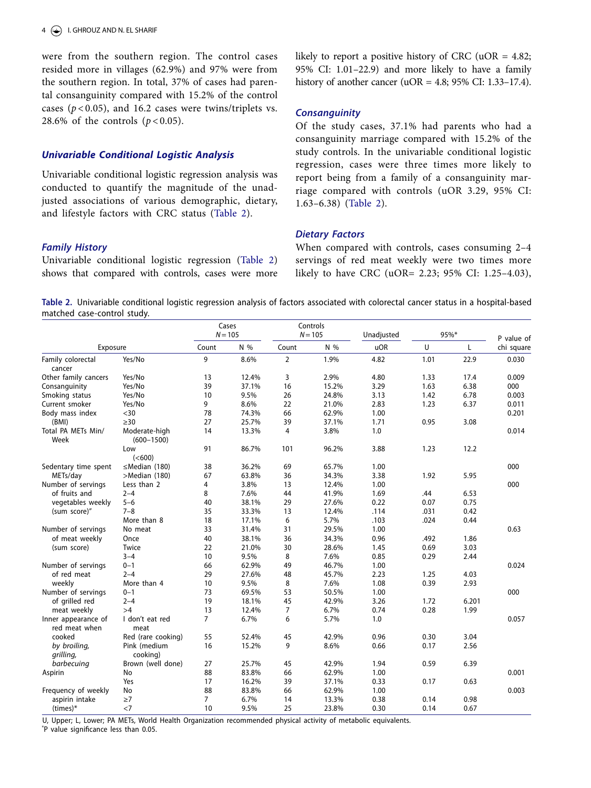were from the southern region. The control cases resided more in villages (62.9%) and 97% were from the southern region. In total, 37% of cases had parental consanguinity compared with 15.2% of the control cases (*p* < 0.05), and 16.2 cases were twins/triplets vs. 28.6% of the controls  $(p < 0.05)$ .

#### *Univariable Conditional Logistic Analysis*

Univariable conditional logistic regression analysis was conducted to quantify the magnitude of the unadjusted associations of various demographic, dietary, and lifestyle factors with CRC status [\(Table 2\)](#page-4-0).

likely to report a positive history of CRC (uOR  $=$  4.82; 95% CI: 1.01–22.9) and more likely to have a family history of another cancer (uOR =  $4.8$ ; 95% CI: 1.33–17.4).

#### *Consanguinity*

Of the study cases, 37.1% had parents who had a consanguinity marriage compared with 15.2% of the study controls. In the univariable conditional logistic regression, cases were three times more likely to report being from a family of a consanguinity marriage compared with controls (uOR 3.29, 95% CI: 1.63–6.38) [\(Table 2](#page-4-0)).

#### *Dietary Factors*

*Family History*

Univariable conditional logistic regression ([Table 2](#page-4-0)) shows that compared with controls, cases were more

When compared with controls, cases consuming 2–4 servings of red meat weekly were two times more likely to have CRC (uOR= 2.23; 95% CI: 1.25–4.03),

<span id="page-4-0"></span>**Table 2.** Univariable conditional logistic regression analysis of factors associated with colorectal cancer status in a hospital-based matched case-control study.

| Exposure                             |                                 | Cases<br>$N = 105$ |       | Controls<br>$N = 105$ |       | Unadjusted | 95%* |       |                          |
|--------------------------------------|---------------------------------|--------------------|-------|-----------------------|-------|------------|------|-------|--------------------------|
|                                      |                                 | N %<br>Count       |       | Count                 | N %   | <b>uOR</b> | U    | L     | P value of<br>chi square |
| Family colorectal<br>cancer          | Yes/No                          | 9                  | 8.6%  | $\overline{2}$        | 1.9%  | 4.82       | 1.01 | 22.9  | 0.030                    |
| Other family cancers                 | Yes/No                          | 13                 | 12.4% | 3                     | 2.9%  | 4.80       | 1.33 | 17.4  | 0.009                    |
| Consanguinity                        | Yes/No                          | 39                 | 37.1% | 16                    | 15.2% | 3.29       | 1.63 | 6.38  | 000                      |
| Smoking status                       | Yes/No                          | 10                 | 9.5%  | 26                    | 24.8% | 3.13       | 1.42 | 6.78  | 0.003                    |
| Current smoker                       | Yes/No                          | 9                  | 8.6%  | 22                    | 21.0% | 2.83       | 1.23 | 6.37  | 0.011                    |
| Body mass index                      | $30$                            | 78                 | 74.3% | 66                    | 62.9% | 1.00       |      |       | 0.201                    |
| (BMI)                                | $\geq$ 30                       | 27                 | 25.7% | 39                    | 37.1% | 1.71       | 0.95 | 3.08  |                          |
| Total PA METs Min/<br>Week           | Moderate-high<br>$(600 - 1500)$ | 14                 | 13.3% | $\overline{4}$        | 3.8%  | 1.0        |      |       | 0.014                    |
|                                      | Low<br>(<600)                   | 91                 | 86.7% | 101                   | 96.2% | 3.88       | 1.23 | 12.2  |                          |
| Sedentary time spent                 | $\leq$ Median (180)             | 38                 | 36.2% | 69                    | 65.7% | 1.00       |      |       | 000                      |
| METs/day                             | >Median (180)                   | 67                 | 63.8% | 36                    | 34.3% | 3.38       | 1.92 | 5.95  |                          |
| Number of servings                   | Less than 2                     | 4                  | 3.8%  | 13                    | 12.4% | 1.00       |      |       | 000                      |
| of fruits and                        | $2 - 4$                         | 8                  | 7.6%  | 44                    | 41.9% | 1.69       | .44  | 6.53  |                          |
| vegetables weekly                    | $5 - 6$                         | 40                 | 38.1% | 29                    | 27.6% | 0.22       | 0.07 | 0.75  |                          |
| (sum score)"                         | $7 - 8$                         | 35                 | 33.3% | 13                    | 12.4% | .114       | .031 | 0.42  |                          |
|                                      | More than 8                     | 18                 | 17.1% | 6                     | 5.7%  | .103       | .024 | 0.44  |                          |
| Number of servings                   | No meat                         | 33                 | 31.4% | 31                    | 29.5% | 1.00       |      |       | 0.63                     |
| of meat weekly                       | Once                            | 40                 | 38.1% | 36                    | 34.3% | 0.96       | .492 | 1.86  |                          |
| (sum score)                          | Twice                           | 22                 | 21.0% | 30                    | 28.6% | 1.45       | 0.69 | 3.03  |                          |
|                                      | $3 - 4$                         | 10                 | 9.5%  | 8                     | 7.6%  | 0.85       | 0.29 | 2.44  |                          |
| Number of servings                   | $0 - 1$                         | 66                 | 62.9% | 49                    | 46.7% | 1.00       |      |       | 0.024                    |
| of red meat                          | $2 - 4$                         | 29                 | 27.6% | 48                    | 45.7% | 2.23       | 1.25 | 4.03  |                          |
| weekly                               | More than 4                     | 10                 | 9.5%  | 8                     | 7.6%  | 1.08       | 0.39 | 2.93  |                          |
| Number of servings                   | $0 - 1$                         | 73                 | 69.5% | 53                    | 50.5% | 1.00       |      |       | 000                      |
| of grilled red                       | $2 - 4$                         | 19                 | 18.1% | 45                    | 42.9% | 3.26       | 1.72 | 6.201 |                          |
| meat weekly                          | >4                              | 13                 | 12.4% | $\overline{7}$        | 6.7%  | 0.74       | 0.28 | 1.99  |                          |
| Inner appearance of<br>red meat when | I don't eat red<br>meat         | $\overline{7}$     | 6.7%  | 6                     | 5.7%  | 1.0        |      |       | 0.057                    |
| cooked                               | Red (rare cooking)              | 55                 | 52.4% | 45                    | 42.9% | 0.96       | 0.30 | 3.04  |                          |
| by broiling,<br>grilling,            | Pink (medium<br>cooking)        | 16                 | 15.2% | 9                     | 8.6%  | 0.66       | 0.17 | 2.56  |                          |
| barbecuing                           | Brown (well done)               | 27                 | 25.7% | 45                    | 42.9% | 1.94       | 0.59 | 6.39  |                          |
| Aspirin                              | No                              | 88                 | 83.8% | 66                    | 62.9% | 1.00       |      |       | 0.001                    |
|                                      | Yes                             | 17                 | 16.2% | 39                    | 37.1% | 0.33       | 0.17 | 0.63  |                          |
| Frequency of weekly                  | No                              | 88                 | 83.8% | 66                    | 62.9% | 1.00       |      |       | 0.003                    |
| aspirin intake                       | $\geq 7$                        | $\overline{7}$     | 6.7%  | 14                    | 13.3% | 0.38       | 0.14 | 0.98  |                          |
| $(times)*$                           | $\leq$ 7                        | 10                 | 9.5%  | 25                    | 23.8% | 0.30       | 0.14 | 0.67  |                          |

U, Upper; L, Lower; PA METs, World Health Organization recommended physical activity of metabolic equivalents.

\* P value significance less than 0.05.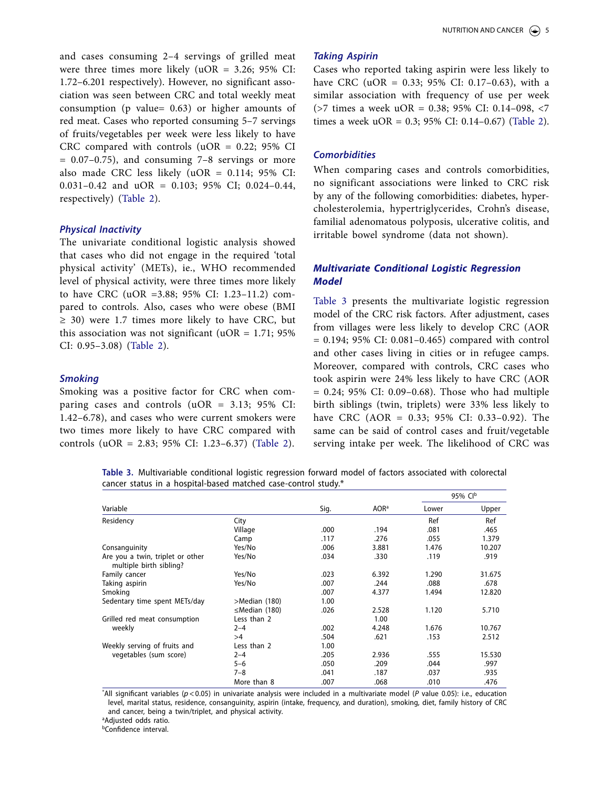and cases consuming 2–4 servings of grilled meat were three times more likely (uOR = 3.26; 95% CI: 1.72–6.201 respectively). However, no significant association was seen between CRC and total weekly meat consumption (p value= 0.63) or higher amounts of red meat. Cases who reported consuming 5–7 servings of fruits/vegetables per week were less likely to have CRC compared with controls (uOR =  $0.22$ ; 95% CI  $= 0.07-0.75$ , and consuming  $7-8$  servings or more also made CRC less likely  $(uOR = 0.114; 95\%$  CI: 0.031–0.42 and uOR = 0.103; 95% CI; 0.024–0.44, respectively) ([Table 2](#page-4-0)).

#### *Physical Inactivity*

The univariate conditional logistic analysis showed that cases who did not engage in the required 'total physical activity' (METs), ie., WHO recommended level of physical activity, were three times more likely to have CRC (uOR =3.88; 95% CI: 1.23–11.2) compared to controls. Also, cases who were obese (BMI  $\geq$  30) were 1.7 times more likely to have CRC, but this association was not significant (uOR =  $1.71$ ; 95% CI: 0.95–3.08) [\(Table 2\)](#page-4-0).

#### *Smoking*

Smoking was a positive factor for CRC when comparing cases and controls (uOR = 3.13; 95% CI: 1.42–6.78), and cases who were current smokers were two times more likely to have CRC compared with controls (uOR = 2.83; 95% CI: 1.23–6.37) [\(Table 2\)](#page-4-0).

#### *Taking Aspirin*

Cases who reported taking aspirin were less likely to have CRC (uOR = 0.33; 95% CI: 0.17–0.63), with a similar association with frequency of use per week (>7 times a week uOR = 0.38; 95% CI: 0.14–098, <7 times a week uOR = 0.3; 95% CI: 0.14–0.67) [\(Table 2\)](#page-4-0).

#### *Comorbidities*

When comparing cases and controls comorbidities, no significant associations were linked to CRC risk by any of the following comorbidities: diabetes, hypercholesterolemia, hypertriglycerides, Crohn's disease, familial adenomatous polyposis, ulcerative colitis, and irritable bowel syndrome (data not shown).

# *Multivariate Conditional Logistic Regression Model*

[Table 3](#page-5-0) presents the multivariate logistic regression model of the CRC risk factors. After adjustment, cases from villages were less likely to develop CRC (AOR  $= 0.194$ ; 95% CI: 0.081-0.465) compared with control and other cases living in cities or in refugee camps. Moreover, compared with controls, CRC cases who took aspirin were 24% less likely to have CRC (AOR  $= 0.24$ ; 95% CI: 0.09–0.68). Those who had multiple birth siblings (twin, triplets) were 33% less likely to have CRC (AOR = 0.33; 95% CI: 0.33–0.92). The same can be said of control cases and fruit/vegetable serving intake per week. The likelihood of CRC was

<span id="page-5-0"></span>**Table 3.** Multivariable conditional logistic regression forward model of factors associated with colorectal cancer status in a hospital-based matched case-control study.\*

|                                                             |                     | Sig. |                  | 95% CIb |        |  |
|-------------------------------------------------------------|---------------------|------|------------------|---------|--------|--|
| Variable                                                    |                     |      | AOR <sup>a</sup> | Lower   | Upper  |  |
| Residency                                                   | City                |      |                  | Ref     | Ref    |  |
|                                                             | Village             | .000 | .194             | .081    | .465   |  |
|                                                             | Camp                | .117 | .276             | .055    | 1.379  |  |
| Consanguinity                                               | Yes/No              | .006 | 3.881            | 1.476   | 10.207 |  |
| Are you a twin, triplet or other<br>multiple birth sibling? | Yes/No              | .034 | .330             | .119    | .919   |  |
| Family cancer                                               | Yes/No              | .023 | 6.392            | 1.290   | 31.675 |  |
| Taking aspirin                                              | Yes/No              | .007 | .244             | .088    | .678   |  |
| Smoking                                                     |                     | .007 | 4.377            | 1.494   | 12.820 |  |
| Sedentary time spent METs/day                               | >Median (180)       | 1.00 |                  |         |        |  |
|                                                             | $\leq$ Median (180) | .026 | 2.528            | 1.120   | 5.710  |  |
| Grilled red meat consumption                                | Less than 2         |      | 1.00             |         |        |  |
| weekly                                                      | $2 - 4$             | .002 | 4.248            | 1.676   | 10.767 |  |
|                                                             | >4                  | .504 | .621             | .153    | 2.512  |  |
| Weekly serving of fruits and                                | Less than 2         | 1.00 |                  |         |        |  |
| vegetables (sum score)                                      | $2 - 4$             | .205 | 2.936            | .555    | 15.530 |  |
|                                                             | $5 - 6$             | .050 | .209             | .044    | .997   |  |
|                                                             | $7 - 8$             | .041 | .187             | .037    | .935   |  |
|                                                             | More than 8         | .007 | .068             | .010    | .476   |  |

\* All significant variables (*p*<0.05) in univariate analysis were included in a multivariate model (*P* value 0.05): i.e., education level, marital status, residence, consanguinity, aspirin (intake, frequency, and duration), smoking, diet, family history of CRC and cancer, being a twin/triplet, and physical activity.

<sup>a</sup>Adjusted odds ratio.

bConfidence interval.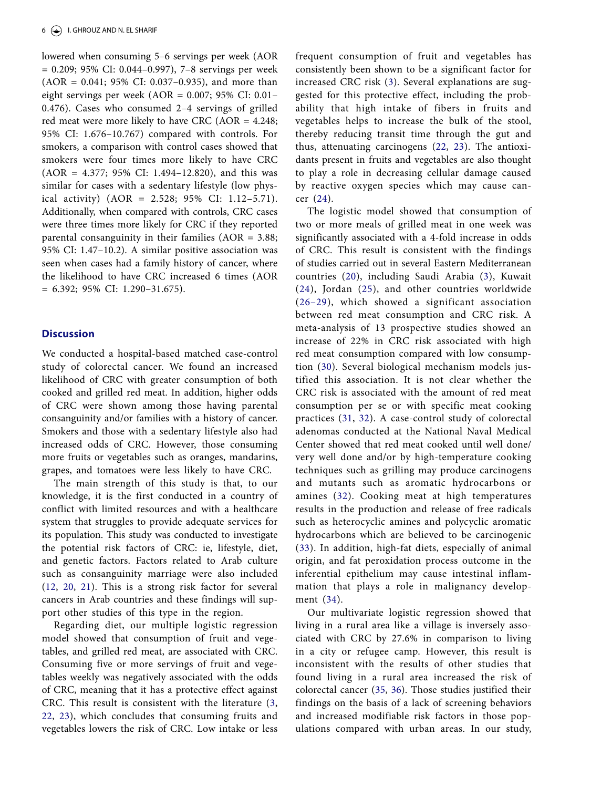lowered when consuming 5–6 servings per week (AOR = 0.209; 95% CI: 0.044–0.997), 7–8 servings per week (AOR = 0.041; 95% CI: 0.037–0.935), and more than eight servings per week (AOR = 0.007; 95% CI: 0.01– 0.476). Cases who consumed 2–4 servings of grilled red meat were more likely to have CRC (AOR = 4.248; 95% CI: 1.676–10.767) compared with controls. For smokers, a comparison with control cases showed that smokers were four times more likely to have CRC  $(AOR = 4.377; 95\% CI: 1.494–12.820)$ , and this was similar for cases with a sedentary lifestyle (low physical activity) (AOR = 2.528; 95% CI: 1.12–5.71). Additionally, when compared with controls, CRC cases were three times more likely for CRC if they reported parental consanguinity in their families (AOR = 3.88; 95% CI: 1.47–10.2). A similar positive association was seen when cases had a family history of cancer, where the likelihood to have CRC increased 6 times (AOR = 6.392; 95% CI: 1.290–31.675).

# **Discussion**

We conducted a hospital-based matched case-control study of colorectal cancer. We found an increased likelihood of CRC with greater consumption of both cooked and grilled red meat. In addition, higher odds of CRC were shown among those having parental consanguinity and/or families with a history of cancer. Smokers and those with a sedentary lifestyle also had increased odds of CRC. However, those consuming more fruits or vegetables such as oranges, mandarins, grapes, and tomatoes were less likely to have CRC.

The main strength of this study is that, to our knowledge, it is the first conducted in a country of conflict with limited resources and with a healthcare system that struggles to provide adequate services for its population. This study was conducted to investigate the potential risk factors of CRC: ie, lifestyle, diet, and genetic factors. Factors related to Arab culture such as consanguinity marriage were also included ([12](#page-9-9), [20,](#page-9-17) [21\)](#page-9-18). This is a strong risk factor for several cancers in Arab countries and these findings will support other studies of this type in the region.

<span id="page-6-3"></span><span id="page-6-2"></span><span id="page-6-1"></span><span id="page-6-0"></span>Regarding diet, our multiple logistic regression model showed that consumption of fruit and vegetables, and grilled red meat, are associated with CRC. Consuming five or more servings of fruit and vegetables weekly was negatively associated with the odds of CRC, meaning that it has a protective effect against CRC. This result is consistent with the literature [\(3,](#page-9-1) [22](#page-9-19), [23](#page-9-20)), which concludes that consuming fruits and vegetables lowers the risk of CRC. Low intake or less

frequent consumption of fruit and vegetables has consistently been shown to be a significant factor for increased CRC risk [\(3](#page-9-1)). Several explanations are suggested for this protective effect, including the probability that high intake of fibers in fruits and vegetables helps to increase the bulk of the stool, thereby reducing transit time through the gut and thus, attenuating carcinogens ([22,](#page-9-19) [23\)](#page-9-20). The antioxidants present in fruits and vegetables are also thought to play a role in decreasing cellular damage caused by reactive oxygen species which may cause cancer ([24\)](#page-9-21).

<span id="page-6-7"></span><span id="page-6-6"></span><span id="page-6-5"></span><span id="page-6-4"></span>The logistic model showed that consumption of two or more meals of grilled meat in one week was significantly associated with a 4-fold increase in odds of CRC. This result is consistent with the findings of studies carried out in several Eastern Mediterranean countries [\(20\)](#page-9-17), including Saudi Arabia ([3](#page-9-1)), Kuwait ([24\)](#page-9-21), Jordan ([25\)](#page-9-22), and other countries worldwide ([26–29\)](#page-9-23), which showed a significant association between red meat consumption and CRC risk. A meta-analysis of 13 prospective studies showed an increase of 22% in CRC risk associated with high red meat consumption compared with low consumption ([30](#page-10-0)). Several biological mechanism models justified this association. It is not clear whether the CRC risk is associated with the amount of red meat consumption per se or with specific meat cooking practices ([31](#page-10-1), [32](#page-10-2)). A case-control study of colorectal adenomas conducted at the National Naval Medical Center showed that red meat cooked until well done/ very well done and/or by high-temperature cooking techniques such as grilling may produce carcinogens and mutants such as aromatic hydrocarbons or amines ([32\)](#page-10-2). Cooking meat at high temperatures results in the production and release of free radicals such as heterocyclic amines and polycyclic aromatic hydrocarbons which are believed to be carcinogenic ([33](#page-10-3)). In addition, high-fat diets, especially of animal origin, and fat peroxidation process outcome in the inferential epithelium may cause intestinal inflammation that plays a role in malignancy development ([34\)](#page-10-4).

<span id="page-6-13"></span><span id="page-6-12"></span><span id="page-6-11"></span><span id="page-6-10"></span><span id="page-6-9"></span><span id="page-6-8"></span>Our multivariate logistic regression showed that living in a rural area like a village is inversely associated with CRC by 27.6% in comparison to living in a city or refugee camp. However, this result is inconsistent with the results of other studies that found living in a rural area increased the risk of colorectal cancer ([35](#page-10-5), [36](#page-10-6)). Those studies justified their findings on the basis of a lack of screening behaviors and increased modifiable risk factors in those populations compared with urban areas. In our study,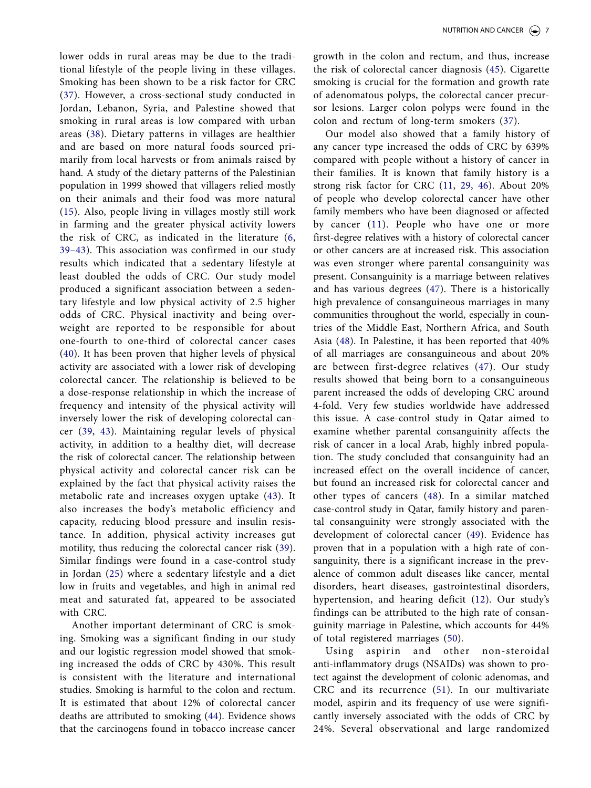<span id="page-7-2"></span><span id="page-7-1"></span><span id="page-7-0"></span>lower odds in rural areas may be due to the traditional lifestyle of the people living in these villages. Smoking has been shown to be a risk factor for CRC ([37](#page-10-7)). However, a cross-sectional study conducted in Jordan, Lebanon, Syria, and Palestine showed that smoking in rural areas is low compared with urban areas ([38\)](#page-10-8). Dietary patterns in villages are healthier and are based on more natural foods sourced primarily from local harvests or from animals raised by hand. A study of the dietary patterns of the Palestinian population in 1999 showed that villagers relied mostly on their animals and their food was more natural ([15](#page-9-12)). Also, people living in villages mostly still work in farming and the greater physical activity lowers the risk of CRC, as indicated in the literature [\(6,](#page-9-2) [39–43](#page-10-9)). This association was confirmed in our study results which indicated that a sedentary lifestyle at least doubled the odds of CRC. Our study model produced a significant association between a sedentary lifestyle and low physical activity of 2.5 higher odds of CRC. Physical inactivity and being overweight are reported to be responsible for about one-fourth to one-third of colorectal cancer cases ([40](#page-10-10)). It has been proven that higher levels of physical activity are associated with a lower risk of developing colorectal cancer. The relationship is believed to be a dose-response relationship in which the increase of frequency and intensity of the physical activity will inversely lower the risk of developing colorectal cancer [\(39,](#page-10-9) [43](#page-10-11)). Maintaining regular levels of physical activity, in addition to a healthy diet, will decrease the risk of colorectal cancer. The relationship between physical activity and colorectal cancer risk can be explained by the fact that physical activity raises the metabolic rate and increases oxygen uptake ([43](#page-10-11)). It also increases the body's metabolic efficiency and capacity, reducing blood pressure and insulin resistance. In addition, physical activity increases gut motility, thus reducing the colorectal cancer risk ([39\)](#page-10-9). Similar findings were found in a case-control study in Jordan ([25](#page-9-22)) where a sedentary lifestyle and a diet low in fruits and vegetables, and high in animal red meat and saturated fat, appeared to be associated with CRC.

<span id="page-7-3"></span>Another important determinant of CRC is smoking. Smoking was a significant finding in our study and our logistic regression model showed that smoking increased the odds of CRC by 430%. This result is consistent with the literature and international studies. Smoking is harmful to the colon and rectum. It is estimated that about 12% of colorectal cancer deaths are attributed to smoking [\(44](#page-10-12)). Evidence shows that the carcinogens found in tobacco increase cancer

<span id="page-7-4"></span>growth in the colon and rectum, and thus, increase the risk of colorectal cancer diagnosis ([45](#page-10-13)). Cigarette smoking is crucial for the formation and growth rate of adenomatous polyps, the colorectal cancer precursor lesions. Larger colon polyps were found in the colon and rectum of long-term smokers ([37](#page-10-7)).

<span id="page-7-7"></span><span id="page-7-6"></span><span id="page-7-5"></span>Our model also showed that a family history of any cancer type increased the odds of CRC by 639% compared with people without a history of cancer in their families. It is known that family history is a strong risk factor for CRC [\(11](#page-9-8), [29](#page-10-14), [46\)](#page-10-15). About 20% of people who develop colorectal cancer have other family members who have been diagnosed or affected by cancer ([11](#page-9-8)). People who have one or more first-degree relatives with a history of colorectal cancer or other cancers are at increased risk. This association was even stronger where parental consanguinity was present. Consanguinity is a marriage between relatives and has various degrees ([47](#page-10-16)). There is a historically high prevalence of consanguineous marriages in many communities throughout the world, especially in countries of the Middle East, Northern Africa, and South Asia [\(48\)](#page-10-17). In Palestine, it has been reported that 40% of all marriages are consanguineous and about 20% are between first-degree relatives ([47\)](#page-10-16). Our study results showed that being born to a consanguineous parent increased the odds of developing CRC around 4-fold. Very few studies worldwide have addressed this issue. A case-control study in Qatar aimed to examine whether parental consanguinity affects the risk of cancer in a local Arab, highly inbred population. The study concluded that consanguinity had an increased effect on the overall incidence of cancer, but found an increased risk for colorectal cancer and other types of cancers ([48](#page-10-17)). In a similar matched case-control study in Qatar, family history and parental consanguinity were strongly associated with the development of colorectal cancer ([49\)](#page-10-18). Evidence has proven that in a population with a high rate of consanguinity, there is a significant increase in the prevalence of common adult diseases like cancer, mental disorders, heart diseases, gastrointestinal disorders, hypertension, and hearing deficit [\(12\)](#page-9-9). Our study's findings can be attributed to the high rate of consanguinity marriage in Palestine, which accounts for 44% of total registered marriages ([50\)](#page-10-19).

<span id="page-7-10"></span><span id="page-7-9"></span><span id="page-7-8"></span>Using aspirin and other non-steroidal anti-inflammatory drugs (NSAIDs) was shown to protect against the development of colonic adenomas, and CRC and its recurrence [\(51\)](#page-10-20). In our multivariate model, aspirin and its frequency of use were significantly inversely associated with the odds of CRC by 24%. Several observational and large randomized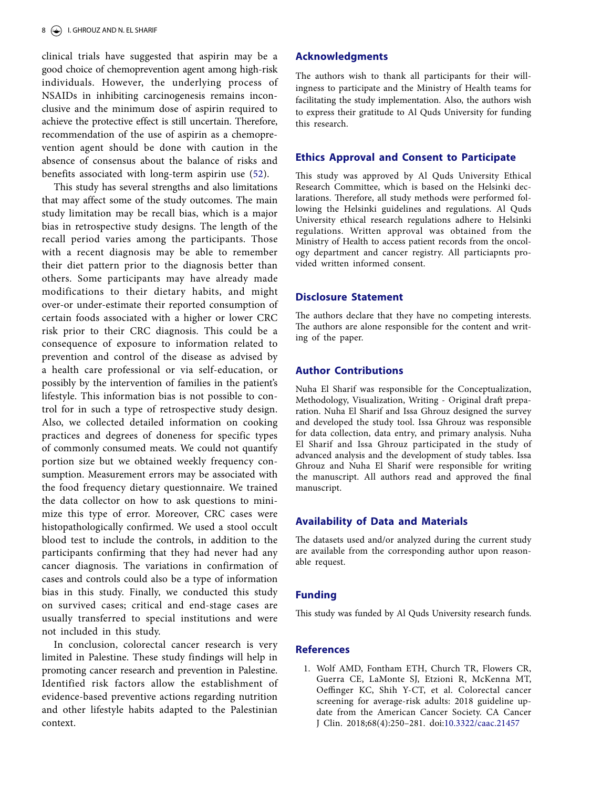clinical trials have suggested that aspirin may be a good choice of chemoprevention agent among high-risk individuals. However, the underlying process of NSAIDs in inhibiting carcinogenesis remains inconclusive and the minimum dose of aspirin required to achieve the protective effect is still uncertain. Therefore, recommendation of the use of aspirin as a chemoprevention agent should be done with caution in the absence of consensus about the balance of risks and benefits associated with long-term aspirin use [\(52\)](#page-10-21).

<span id="page-8-1"></span>This study has several strengths and also limitations that may affect some of the study outcomes. The main study limitation may be recall bias, which is a major bias in retrospective study designs. The length of the recall period varies among the participants. Those with a recent diagnosis may be able to remember their diet pattern prior to the diagnosis better than others. Some participants may have already made modifications to their dietary habits, and might over-or under-estimate their reported consumption of certain foods associated with a higher or lower CRC risk prior to their CRC diagnosis. This could be a consequence of exposure to information related to prevention and control of the disease as advised by a health care professional or via self-education, or possibly by the intervention of families in the patient's lifestyle. This information bias is not possible to control for in such a type of retrospective study design. Also, we collected detailed information on cooking practices and degrees of doneness for specific types of commonly consumed meats. We could not quantify portion size but we obtained weekly frequency consumption. Measurement errors may be associated with the food frequency dietary questionnaire. We trained the data collector on how to ask questions to minimize this type of error. Moreover, CRC cases were histopathologically confirmed. We used a stool occult blood test to include the controls, in addition to the participants confirming that they had never had any cancer diagnosis. The variations in confirmation of cases and controls could also be a type of information bias in this study. Finally, we conducted this study on survived cases; critical and end-stage cases are usually transferred to special institutions and were not included in this study.

In conclusion, colorectal cancer research is very limited in Palestine. These study findings will help in promoting cancer research and prevention in Palestine. Identified risk factors allow the establishment of evidence-based preventive actions regarding nutrition and other lifestyle habits adapted to the Palestinian context.

# **Acknowledgments**

The authors wish to thank all participants for their willingness to participate and the Ministry of Health teams for facilitating the study implementation. Also, the authors wish to express their gratitude to Al Quds University for funding this research.

### **Ethics Approval and Consent to Participate**

This study was approved by Al Quds University Ethical Research Committee, which is based on the Helsinki declarations. Therefore, all study methods were performed following the Helsinki guidelines and regulations. Al Quds University ethical research regulations adhere to Helsinki regulations. Written approval was obtained from the Ministry of Health to access patient records from the oncology department and cancer registry. All particiapnts provided written informed consent.

#### **Disclosure Statement**

The authors declare that they have no competing interests. The authors are alone responsible for the content and writing of the paper.

## **Author Contributions**

Nuha El Sharif was responsible for the Conceptualization, Methodology, Visualization, Writing - Original draft preparation. Nuha El Sharif and Issa Ghrouz designed the survey and developed the study tool. Issa Ghrouz was responsible for data collection, data entry, and primary analysis. Nuha El Sharif and Issa Ghrouz participated in the study of advanced analysis and the development of study tables. Issa Ghrouz and Nuha El Sharif were responsible for writing the manuscript. All authors read and approved the final manuscript.

#### **Availability of Data and Materials**

The datasets used and/or analyzed during the current study are available from the corresponding author upon reasonable request.

#### **Funding**

This study was funded by Al Quds University research funds.

# **References**

<span id="page-8-0"></span>[1.](#page-1-0) Wolf AMD, Fontham ETH, Church TR, Flowers CR, Guerra CE, LaMonte SJ, Etzioni R, McKenna MT, Oeffinger KC, Shih Y-CT, et al. Colorectal cancer screening for average-risk adults: 2018 guideline update from the American Cancer Society. CA Cancer J Clin. 2018;68(4):250–281. doi:[10.3322/caac.21457](https://doi.org/10.3322/caac.21457)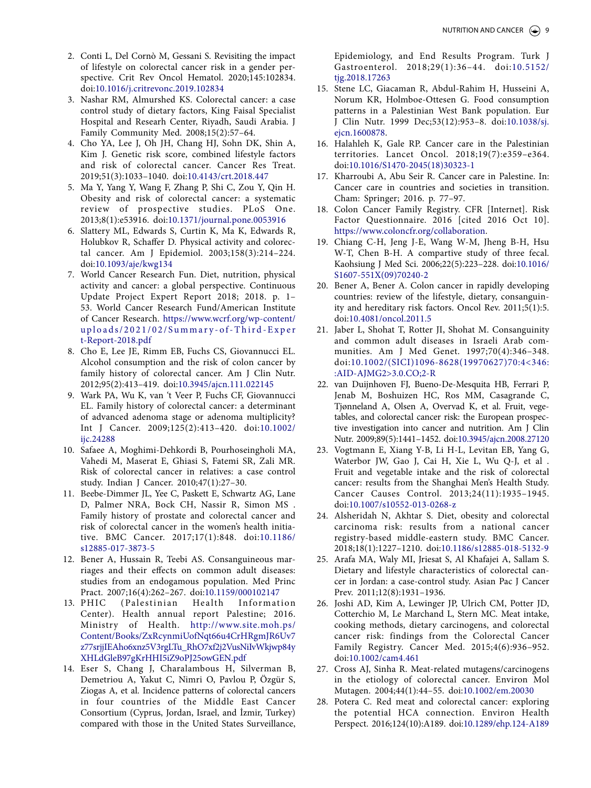- <span id="page-9-0"></span>[2.](#page-1-1) Conti L, Del Cornò M, Gessani S. Revisiting the impact of lifestyle on colorectal cancer risk in a gender perspective. Crit Rev Oncol Hematol. 2020;145:102834. doi:[10.1016/j.critrevonc.2019.102834](https://doi.org/10.1016/j.critrevonc.2019.102834)
- <span id="page-9-1"></span>[3.](#page-1-2) Nashar RM, Almurshed KS. Colorectal cancer: a case control study of dietary factors, King Faisal Specialist Hospital and Researh Center, Riyadh, Saudi Arabia. J Family Community Med. 2008;15(2):57–64.
- [4.](#page-1-2) Cho YA, Lee J, Oh JH, Chang HJ, Sohn DK, Shin A, Kim J. Genetic risk score, combined lifestyle factors and risk of colorectal cancer. Cancer Res Treat. 2019;51(3):1033–1040. doi:[10.4143/crt.2018.447](https://doi.org/10.4143/crt.2018.447)
- <span id="page-9-4"></span>[5.](#page-1-2) Ma Y, Yang Y, Wang F, Zhang P, Shi C, Zou Y, Qin H. Obesity and risk of colorectal cancer: a systematic review of prospective studies. PLoS One. 2013;8(1):e53916. doi:[10.1371/journal.pone.0053916](https://doi.org/10.1371/journal.pone.0053916)
- <span id="page-9-2"></span>[6.](#page-1-3) Slattery ML, Edwards S, Curtin K, Ma K, Edwards R, Holubkov R, Schaffer D. Physical activity and colorectal cancer. Am J Epidemiol. 2003;158(3):214–224. doi:[10.1093/aje/kwg134](https://doi.org/10.1093/aje/kwg134)
- <span id="page-9-3"></span>[7.](#page-1-4) World Cancer Research Fun. Diet, nutrition, physical activity and cancer: a global perspective. Continuous Update Project Expert Report 2018; 2018. p. 1– 53. World Cancer Research Fund/American Institute of Cancer Research. [https://www.wcrf.org/wp-content/](https://www.wcrf.org/wp-content/uploads/2021/02/Summary-of-Third-Expert-Report-2018.pdf) [uploads/2021/02/Summary-of-Third-Exper](https://www.wcrf.org/wp-content/uploads/2021/02/Summary-of-Third-Expert-Report-2018.pdf) [t-Report-2018.pdf](https://www.wcrf.org/wp-content/uploads/2021/02/Summary-of-Third-Expert-Report-2018.pdf)
- <span id="page-9-5"></span>[8.](#page-1-5) Cho E, Lee JE, Rimm EB, Fuchs CS, Giovannucci EL. Alcohol consumption and the risk of colon cancer by family history of colorectal cancer. Am J Clin Nutr. 2012;95(2):413–419. doi:[10.3945/ajcn.111.022145](https://doi.org/10.3945/ajcn.111.022145)
- <span id="page-9-6"></span>[9.](#page-1-6) Wark PA, Wu K, van 't Veer P, Fuchs CF, Giovannucci EL. Family history of colorectal cancer: a determinant of advanced adenoma stage or adenoma multiplicity? Int J Cancer. 2009;125(2):413–420. doi:[10.1002/](https://doi.org/10.1002/ijc.24288) [ijc.24288](https://doi.org/10.1002/ijc.24288)
- <span id="page-9-7"></span>[10.](#page-1-7) Safaee A, Moghimi-Dehkordi B, Pourhoseingholi MA, Vahedi M, Maserat E, Ghiasi S, Fatemi SR, Zali MR. Risk of colorectal cancer in relatives: a case control study. Indian J Cancer. 2010;47(1):27–30.
- <span id="page-9-8"></span>[11.](#page-1-8) Beebe-Dimmer JL, Yee C, Paskett E, Schwartz AG, Lane D, Palmer NRA, Bock CH, Nassir R, Simon MS . Family history of prostate and colorectal cancer and risk of colorectal cancer in the women's health initiative. BMC Cancer. 2017;17(1):848. doi:[10.1186/](https://doi.org/10.1186/s12885-017-3873-5) [s12885-017-3873-5](https://doi.org/10.1186/s12885-017-3873-5)
- <span id="page-9-9"></span>[12.](#page-1-9) Bener A, Hussain R, Teebi AS. Consanguineous marriages and their effects on common adult diseases: studies from an endogamous population. Med Princ Pract. 2007;16(4):262–267. doi:[10.1159/000102147](https://doi.org/10.1159/000102147)
- <span id="page-9-10"></span>[13.](#page-1-10) PHIC (Palestinian Health Information Center). Health annual report Palestine; 2016. Ministry of Health. [http://www.site.moh.ps/](http://www.site.moh.ps/Content/Books/ZxRcynmiUofNqt66u4CrHRgmJR6Uv7z77srjjIEAho6xnz5V3rgLTu_RhO7xf2j2VusNiIvWkjwp84yXHLdGleB97gKrHHI5iZ9oPJ25owGEN.pdf) [Content/Books/ZxRcynmiUofNqt66u4CrHRgmJR6Uv7](http://www.site.moh.ps/Content/Books/ZxRcynmiUofNqt66u4CrHRgmJR6Uv7z77srjjIEAho6xnz5V3rgLTu_RhO7xf2j2VusNiIvWkjwp84yXHLdGleB97gKrHHI5iZ9oPJ25owGEN.pdf) [z77srjjIEAho6xnz5V3rgLTu\\_RhO7xf2j2VusNiIvWkjwp84y](http://www.site.moh.ps/Content/Books/ZxRcynmiUofNqt66u4CrHRgmJR6Uv7z77srjjIEAho6xnz5V3rgLTu_RhO7xf2j2VusNiIvWkjwp84yXHLdGleB97gKrHHI5iZ9oPJ25owGEN.pdf) [XHLdGleB97gKrHHI5iZ9oPJ25owGEN.pdf](http://www.site.moh.ps/Content/Books/ZxRcynmiUofNqt66u4CrHRgmJR6Uv7z77srjjIEAho6xnz5V3rgLTu_RhO7xf2j2VusNiIvWkjwp84yXHLdGleB97gKrHHI5iZ9oPJ25owGEN.pdf)
- <span id="page-9-11"></span>[14.](#page-2-0) Eser S, Chang J, Charalambous H, Silverman B, Demetriou A, Yakut C, Nimri O, Pavlou P, Özgür S, Ziogas A, et al. Incidence patterns of colorectal cancers in four countries of the Middle East Cancer Consortium (Cyprus, Jordan, Israel, and İzmir, Turkey) compared with those in the United States Surveillance,

Epidemiology, and End Results Program. Turk J Gastroenterol. 2018;29(1):36–44. doi:[10.5152/](https://doi.org/10.5152/tjg.2018.17263) [tjg.2018.17263](https://doi.org/10.5152/tjg.2018.17263)

- <span id="page-9-12"></span>[15.](#page-2-1) Stene LC, Giacaman R, Abdul-Rahim H, Husseini A, Norum KR, Holmboe-Ottesen G. Food consumption patterns in a Palestinian West Bank population. Eur J Clin Nutr. 1999 Dec;53(12):953–8. doi[:10.1038/sj.](https://doi.org/10.1038/sj.ejcn.1600878) [ejcn.1600878](https://doi.org/10.1038/sj.ejcn.1600878).
- <span id="page-9-13"></span>[16.](#page-2-2) Halahleh K, Gale RP. Cancer care in the Palestinian territories. Lancet Oncol. 2018;19(7):e359–e364. doi:[10.1016/S1470-2045\(18\)30323-1](https://doi.org/10.1016/S1470-2045(18)30323-1)
- <span id="page-9-14"></span>[17.](#page-2-3) Kharroubi A, Abu Seir R. Cancer care in Palestine. In: Cancer care in countries and societies in transition. Cham: Springer; 2016. p. 77–97.
- <span id="page-9-15"></span>[18.](#page-2-4) Colon Cancer Family Registry. CFR [Internet]. Risk Factor Questionnaire. 2016 [cited 2016 Oct 10]. [https://www.coloncfr.org/collaboration.](https://www.coloncfr.org/collaboration)
- <span id="page-9-16"></span>[19.](#page-2-5) Chiang C-H, Jeng J-E, Wang W-M, Jheng B-H, Hsu W-T, Chen B-H. A compartive study of three fecal. Kaohsiung J Med Sci. 2006;22(5):223–228. doi[:10.1016/](https://doi.org/10.1016/S1607-551X(09)70240-2) [S1607-551X\(09\)70240-2](https://doi.org/10.1016/S1607-551X(09)70240-2)
- <span id="page-9-17"></span>[20.](#page-6-0) Bener A, Bener A. Colon cancer in rapidly developing countries: review of the lifestyle, dietary, consanguinity and hereditary risk factors. Oncol Rev. 2011;5(1):5. doi:[10.4081/oncol.2011.5](https://doi.org/10.4081/oncol.2011.5)
- <span id="page-9-18"></span>[21.](#page-6-1) Jaber L, Shohat T, Rotter JI, Shohat M. Consanguinity and common adult diseases in Israeli Arab communities. Am J Med Genet. 1997;70(4):346–348. doi:[10.1002/\(SICI\)1096-8628\(19970627\)70:4<346:](https://doi.org/10.1002/(SICI)1096-8628(19970627)70:4<346::AID-AJMG2>3.0.CO;2-R) [:AID-AJMG2>3.0.CO;2-R](https://doi.org/10.1002/(SICI)1096-8628(19970627)70:4<346::AID-AJMG2>3.0.CO;2-R)
- <span id="page-9-19"></span>[22.](#page-6-2) van Duijnhoven FJ, Bueno-De-Mesquita HB, Ferrari P, Jenab M, Boshuizen HC, Ros MM, Casagrande C, Tjønneland A, Olsen A, Overvad K, et al. Fruit, vegetables, and colorectal cancer risk: the European prospective investigation into cancer and nutrition. Am J Clin Nutr. 2009;89(5):1441–1452. doi[:10.3945/ajcn.2008.27120](https://doi.org/10.3945/ajcn.2008.27120)
- <span id="page-9-20"></span>[23.](#page-6-3) Vogtmann E, Xiang Y-B, Li H-L, Levitan EB, Yang G, Waterbor JW, Gao J, Cai H, Xie L, Wu Q-J, et al . Fruit and vegetable intake and the risk of colorectal cancer: results from the Shanghai Men's Health Study. Cancer Causes Control. 2013;24(11):1935–1945. doi:[10.1007/s10552-013-0268-z](https://doi.org/10.1007/s10552-013-0268-z)
- <span id="page-9-21"></span>[24.](#page-6-4) Alsheridah N, Akhtar S. Diet, obesity and colorectal carcinoma risk: results from a national cancer registry-based middle-eastern study. BMC Cancer. 2018;18(1):1227–1210. doi:[10.1186/s12885-018-5132-9](https://doi.org/10.1186/s12885-018-5132-9)
- <span id="page-9-22"></span>[25.](#page-6-5) Arafa MA, Waly MI, Jriesat S, Al Khafajei A, Sallam S. Dietary and lifestyle characteristics of colorectal cancer in Jordan: a case-control study. Asian Pac J Cancer Prev. 2011;12(8):1931–1936.
- <span id="page-9-23"></span>[26.](#page-6-6) Joshi AD, Kim A, Lewinger JP, Ulrich CM, Potter JD, Cotterchio M, Le Marchand L, Stern MC. Meat intake, cooking methods, dietary carcinogens, and colorectal cancer risk: findings from the Colorectal Cancer Family Registry. Cancer Med. 2015;4(6):936–952. doi:[10.1002/cam4.461](https://doi.org/10.1002/cam4.461)
- [27.](#page-6-6) Cross AJ, Sinha R. Meat-related mutagens/carcinogens in the etiology of colorectal cancer. Environ Mol Mutagen. 2004;44(1):44–55. doi:[10.1002/em.20030](https://doi.org/10.1002/em.20030)
- [28.](#page-6-6) Potera C. Red meat and colorectal cancer: exploring the potential HCA connection. Environ Health Perspect. 2016;124(10):A189. doi:[10.1289/ehp.124-A189](https://doi.org/10.1289/ehp.124-A189)